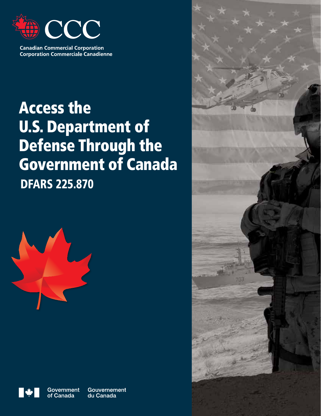

**Canadian Commercial Corporation Corporation Commerciale Canadienne** 

# Access the U.S. Department of Defense Through the Government of Canada DFARS 225.870





**Government** of Canada

Gouvernement du Canada

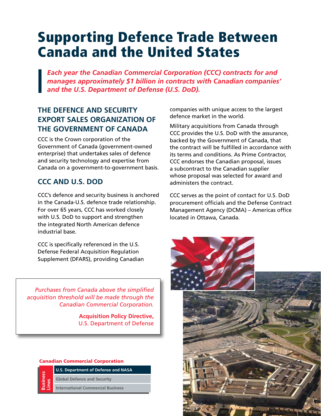# Supporting Defence Trade Between Canada and the United States

*Each year the Canadian Commercial Corporation (CCC) contracts for and manages approximately \$1 billion in contracts with Canadian companies' and the U.S. Department of Defense (U.S. DoD).*

# **THE DEFENCE AND SECURITY EXPORT SALES ORGANIZATION OF THE GOVERNMENT OF CANADA**

CCC is the Crown corporation of the Government of Canada (government-owned enterprise) that undertakes sales of defence and security technology and expertise from Canada on a government-to-government basis.

# **CCC AND U.S. DOD**

CCC's defence and security business is anchored in the Canada-U.S. defence trade relationship. For over 65 years, CCC has worked closely with U.S. DoD to support and strengthen the integrated North American defence industrial base.

CCC is specifically referenced in the U.S. Defense Federal Acquisition Regulation Supplement (DFARS), providing Canadian

*Purchases from Canada above the simplified acquisition threshold will be made through the Canadian Commercial Corporation.*

> **Acquisition Policy Directive,**  U.S. Department of Defense

#### Canadian Commercial Corporation



**U.S. Department of Defense and NASA Global Defence and Security**

**International Commercial Business**

companies with unique access to the largest defence market in the world.

Military acquisitions from Canada through CCC provides the U.S. DoD with the assurance, backed by the Government of Canada, that the contract will be fulfilled in accordance with its terms and conditions. As Prime Contractor, CCC endorses the Canadian proposal, issues a subcontract to the Canadian supplier whose proposal was selected for award and administers the contract.

CCC serves as the point of contact for U.S. DoD procurement officials and the Defense Contract Management Agency (DCMA) – Americas office located in Ottawa, Canada.

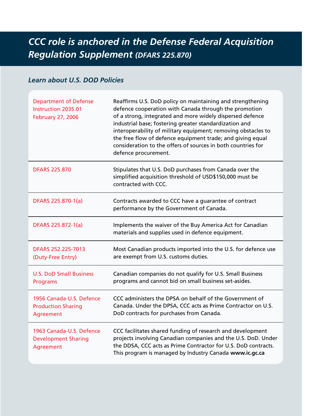# *CCC role is anchored in the Defense Federal Acquisition Regulation Supplement (DFARS 225.870)*

### *Learn about U.S. DOD Policies*

| <b>Department of Defense</b><br><b>Instruction 2035.01</b><br><b>February 27, 2006</b> | Reaffirms U.S. DoD policy on maintaining and strengthening<br>defence cooperation with Canada through the promotion<br>of a strong, integrated and more widely dispersed defence<br>industrial base; fostering greater standardization and<br>interoperability of military equipment; removing obstacles to<br>the free flow of defence equipment trade; and giving equal<br>consideration to the offers of sources in both countries for<br>defence procurement. |
|----------------------------------------------------------------------------------------|-------------------------------------------------------------------------------------------------------------------------------------------------------------------------------------------------------------------------------------------------------------------------------------------------------------------------------------------------------------------------------------------------------------------------------------------------------------------|
| <b>DFARS 225,870</b>                                                                   | Stipulates that U.S. DoD purchases from Canada over the<br>simplified acquisition threshold of USD\$150,000 must be<br>contracted with CCC.                                                                                                                                                                                                                                                                                                                       |
| DFARS 225.870-1(a)                                                                     | Contracts awarded to CCC have a guarantee of contract<br>performance by the Government of Canada.                                                                                                                                                                                                                                                                                                                                                                 |
| DFARS 225.872-1(a)                                                                     | Implements the waiver of the Buy America Act for Canadian<br>materials and supplies used in defence equipment.                                                                                                                                                                                                                                                                                                                                                    |
| DFARS 252.225-7013<br>(Duty-Free Entry)                                                | Most Canadian products imported into the U.S. for defence use<br>are exempt from U.S. customs duties.                                                                                                                                                                                                                                                                                                                                                             |
| <b>U.S. DoD Small Business</b><br>Programs                                             | Canadian companies do not qualify for U.S. Small Business<br>programs and cannot bid on small business set-asides.                                                                                                                                                                                                                                                                                                                                                |
| 1956 Canada-U.S. Defence<br><b>Production Sharing</b><br>Agreement                     | CCC administers the DPSA on behalf of the Government of<br>Canada. Under the DPSA, CCC acts as Prime Contractor on U.S.<br>DoD contracts for purchases from Canada.                                                                                                                                                                                                                                                                                               |
| 1963 Canada-U.S. Defence<br><b>Development Sharing</b><br>Agreement                    | CCC facilitates shared funding of research and development<br>projects involving Canadian companies and the U.S. DoD. Under<br>the DDSA, CCC acts as Prime Contractor for U.S. DoD contracts.<br>This program is managed by Industry Canada www.ic.gc.ca                                                                                                                                                                                                          |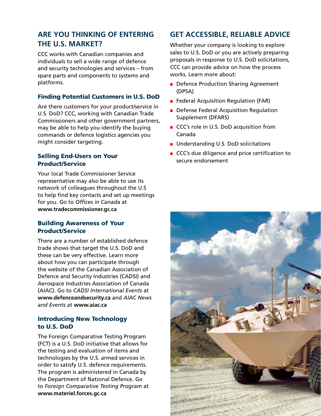## **ARE YOU THINKING OF ENTERING THE U.S. MARKET?**

CCC works with Canadian companies and individuals to sell a wide range of defence and security technologies and services – from spare parts and components to systems and platforms.

#### Finding Potential Customers in U.S. DoD

Are there customers for your product/service in U.S. DoD? CCC, working with Canadian Trade Commissioners and other government partners, may be able to help you identify the buying commands or defence logistics agencies you might consider targeting.

#### Selling End-Users on Your Product/Service

Your local Trade Commissioner Service representative may also be able to use its network of colleagues throughout the U.S to help find key contacts and set up meetings for you. Go to *Offices in Canada* at **www.tradecommissioner.gc.ca** 

#### Building Awareness of Your Product/Service

There are a number of established defence trade shows that target the U.S. DoD and these can be very effective. Learn more about how you can participate through the website of the Canadian Association of Defence and Security Industries (CADSI) and Aerospace Industries Association of Canada (AIAC). Go to *CADSI International Events* at **www.defenceandsecurity.ca** and *AIAC News and Events* at **www.aiac.ca**

#### Introducing New Technology to U.S. DoD

The Foreign Comparative Testing Program (FCT) is a U.S. DoD initiative that allows for the testing and evaluation of items and technologies by the U.S. armed services in order to satisfy U.S. defence requirements. The program is administered in Canada by the Department of National Defence. Go to *Foreign Comparative Testing Program* at **www.materiel.forces.gc.ca**

#### **GET ACCESSIBLE, RELIABLE ADVICE**

Whether your company is looking to explore sales to U.S. DoD or you are actively preparing proposals in response to U.S. DoD solicitations, CCC can provide advice on how the process works. Learn more about:

- Defence Production Sharing Agreement (DPSA)
- Federal Acquisition Regulation (FAR)
- Defense Federal Acquisition Regulation Supplement (DFARS)
- CCC's role in U.S. DoD acquisition from Canada
- Understanding U.S. DoD solicitations
- CCC's due diligence and price certification to secure endorsement

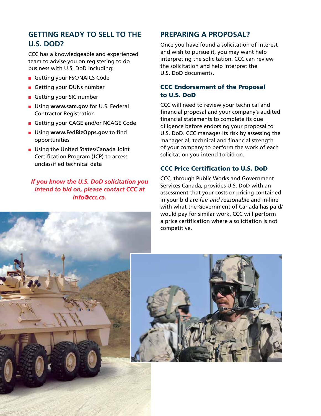## **GETTING READY TO SELL TO THE U.S. DOD?**

CCC has a knowledgeable and experienced team to advise you on registering to do business with U.S. DoD including:

- Getting your FSC/NAICS Code
- Getting your DUNs number
- Getting your SIC number
- Using **www.sam.gov** for U.S. Federal Contractor Registration
- Getting your CAGE and/or NCAGE Code
- Using **www.FedBizOpps.gov** to find opportunities
- Using the United States/Canada Joint Certification Program (JCP) to access unclassified technical data

#### *If you know the U.S. DoD solicitation you intend to bid on, please contact CCC at info@ccc.ca.*

#### **PREPARING A PROPOSAL?**

Once you have found a solicitation of interest and wish to pursue it, you may want help interpreting the solicitation. CCC can review the solicitation and help interpret the U.S. DoD documents.

#### CCC Endorsement of the Proposal to U.S. DoD

CCC will need to review your technical and financial proposal and your company's audited financial statements to complete its due diligence before endorsing your proposal to U.S. DoD. CCC manages its risk by assessing the managerial, technical and financial strength of your company to perform the work of each solicitation you intend to bid on.

#### CCC Price Certification to U.S. DoD

CCC, through Public Works and Government Services Canada, provides U.S. DoD with an assessment that your costs or pricing contained in your bid are *fair and reasonable* and in-line with what the Government of Canada has paid/ would pay for similar work. CCC will perform a price certification where a solicitation is not competitive.

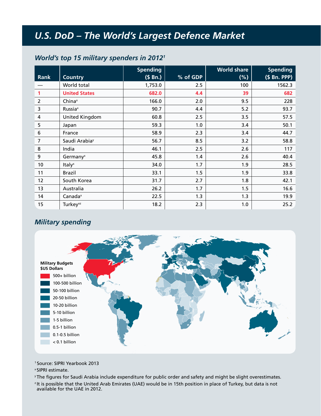# *U.S. DoD – The World's Largest Defence Market*

#### *World's top 15 military spenders in 2012<sup>1</sup>*

| Rank           | <b>Country</b>              | <b>Spending</b><br>(S Bn.) | % of GDP | <b>World share</b><br>(%) | <b>Spending</b><br>(\$ Bn. PPP) |
|----------------|-----------------------------|----------------------------|----------|---------------------------|---------------------------------|
|                | World total                 | 1,753.0                    | 2.5      | 100                       | 1562.3                          |
| 1              | <b>United States</b>        | 682.0                      | 4.4      | 39                        | 682                             |
| $\overline{2}$ | China <sup>x</sup>          | 166.0                      | 2.0      | 9.5                       | 228                             |
| 3              | Russia <sup>x</sup>         | 90.7                       | 4.4      | 5.2                       | 93.7                            |
| 4              | United Kingdom              | 60.8                       | 2.5      | 3.5                       | 57.5                            |
| 5              | Japan                       | 59.3                       | 1.0      | 3.4                       | 50.1                            |
| 6              | France                      | 58.9                       | 2.3      | 3.4                       | 44.7                            |
| 7              | Saudi Arabia <sup>y</sup>   | 56.7                       | 8.5      | 3.2                       | 58.8                            |
| 8              | India                       | 46.1                       | 2.5      | 2.6                       | 117                             |
| 9              | Germany <sup>x</sup>        | 45.8                       | 1.4      | 2.6                       | 40.4                            |
| 10             | Italy <sup>x</sup>          | 34.0                       | 1.7      | 1.9                       | 28.5                            |
| 11             | <b>Brazil</b>               | 33.1                       | 1.5      | 1.9                       | 33.8                            |
| 12             | South Korea                 | 31.7                       | 2.7      | 1.8                       | 42.1                            |
| 13             | Australia                   | 26.2                       | 1.7      | 1.5                       | 16.6                            |
| 14             | Canada <sup>x</sup>         | 22.5                       | 1.3      | 1.3                       | 19.9                            |
| 15             | <b>Turkey</b> <sup>xz</sup> | 18.2                       | 2.3      | 1.0                       | 25.2                            |

#### *Military spending*



<sup>1</sup>Source: SIPRI Yearbook 2013

<sup>x</sup>SIPRI estimate.

<sup>y</sup>The figures for Saudi Arabia include expenditure for public order and safety and might be slight overestimates.

<sup>2</sup>It is possible that the United Arab Emirates (UAE) would be in 15th position in place of Turkey, but data is not available for the UAE in 2012.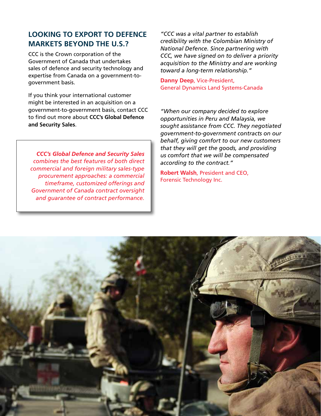## **LOOKING TO EXPORT TO DEFENCE MARKETS BEYOND THE U.S.?**

CCC is the Crown corporation of the Government of Canada that undertakes sales of defence and security technology and expertise from Canada on a government-togovernment basis.

If you think your international customer might be interested in an acquisition on a government-to-government basis, contact CCC to find out more about **CCC's Global Defence and Security Sales**.

*CCC's Global Defence and Security Sales combines the best features of both direct commercial and foreign military sales-type procurement approaches: a commercial timeframe, customized offerings and Government of Canada contract oversight and guarantee of contract performance.*

*"CCC was a vital partner to establish credibility with the Colombian Ministry of National Defence. Since partnering with CCC, we have signed on to deliver a priority acquisition to the Ministry and are working toward a long-term relationship."*

**Danny Deep**, Vice-President, General Dynamics Land Systems-Canada

*"When our company decided to explore opportunities in Peru and Malaysia, we sought assistance from CCC. They negotiated government-to-government contracts on our behalf, giving comfort to our new customers that they will get the goods, and providing us comfort that we will be compensated according to the contract."*

**Robert Walsh**, President and CEO, Forensic Technology Inc.

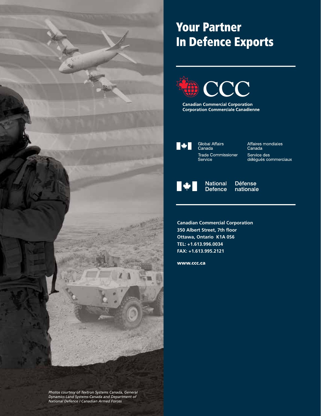

# Your Partner In Defence Exports



**Canadian Commercial Corporation** Corporation Commerciale Canadienne



Global Affairs<br>Canada **Trade Commissioner** Service

Affaires mondiales<br>Canada Service des<br>délégués commerciaux



**National Défense Defence** nationale

**Canadian Commercial Corporation 350 Albert Street, 7th floor Ottawa, Ontario K1A 0S6 TEL: +1.613.996.0034 FAX: +1.613.995.2121**

www.ccc.ca

*Photos courtesy of Textron Systems Canada, General Dynamics Land Systems-Canada and Department of National Defence / Canadian Armed Forces*